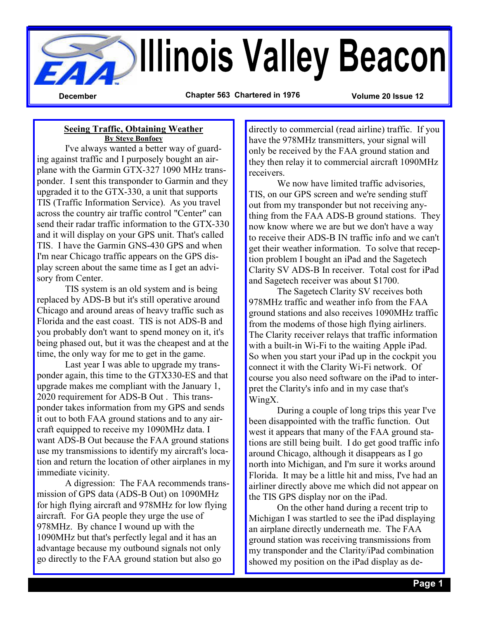

**Seeing Traffic, Obtaining Weather By Steve Bonfoey**

 I've always wanted a better way of guarding against traffic and I purposely bought an airplane with the Garmin GTX-327 1090 MHz transponder. I sent this transponder to Garmin and they upgraded it to the GTX-330, a unit that supports TIS (Traffic Information Service). As you travel across the country air traffic control "Center" can send their radar traffic information to the GTX-330 and it will display on your GPS unit. That's called TIS. I have the Garmin GNS-430 GPS and when I'm near Chicago traffic appears on the GPS display screen about the same time as I get an advisory from Center.

 TIS system is an old system and is being replaced by ADS-B but it's still operative around Chicago and around areas of heavy traffic such as Florida and the east coast. TIS is not ADS-B and you probably don't want to spend money on it, it's being phased out, but it was the cheapest and at the time, the only way for me to get in the game.

 Last year I was able to upgrade my transponder again, this time to the GTX330-ES and that upgrade makes me compliant with the January 1, 2020 requirement for ADS-B Out . This transponder takes information from my GPS and sends it out to both FAA ground stations and to any aircraft equipped to receive my 1090MHz data. I want ADS-B Out because the FAA ground stations use my transmissions to identify my aircraft's location and return the location of other airplanes in my immediate vicinity.

 A digression: The FAA recommends transmission of GPS data (ADS-B Out) on 1090MHz for high flying aircraft and 978MHz for low flying aircraft. For GA people they urge the use of 978MHz. By chance I wound up with the 1090MHz but that's perfectly legal and it has an advantage because my outbound signals not only go directly to the FAA ground station but also go

directly to commercial (read airline) traffic. If you have the 978MHz transmitters, your signal will only be received by the FAA ground station and they then relay it to commercial aircraft 1090MHz receivers.

We now have limited traffic advisories. TIS, on our GPS screen and we're sending stuff out from my transponder but not receiving anything from the FAA ADS-B ground stations. They now know where we are but we don't have a way to receive their ADS-B IN traffic info and we can't get their weather information. To solve that reception problem I bought an iPad and the Sagetech Clarity SV ADS-B In receiver. Total cost for iPad and Sagetech receiver was about \$1700.

 The Sagetech Clarity SV receives both 978MHz traffic and weather info from the FAA ground stations and also receives 1090MHz traffic from the modems of those high flying airliners. The Clarity receiver relays that traffic information with a built-in Wi-Fi to the waiting Apple iPad. So when you start your iPad up in the cockpit you connect it with the Clarity Wi-Fi network. Of course you also need software on the iPad to interpret the Clarity's info and in my case that's WingX.

 During a couple of long trips this year I've been disappointed with the traffic function. Out west it appears that many of the FAA ground stations are still being built. I do get good traffic info around Chicago, although it disappears as I go north into Michigan, and I'm sure it works around Florida. It may be a little hit and miss, I've had an airliner directly above me which did not appear on the TIS GPS display nor on the iPad.

 On the other hand during a recent trip to Michigan I was startled to see the iPad displaying an airplane directly underneath me. The FAA ground station was receiving transmissions from my transponder and the Clarity/iPad combination showed my position on the iPad display as de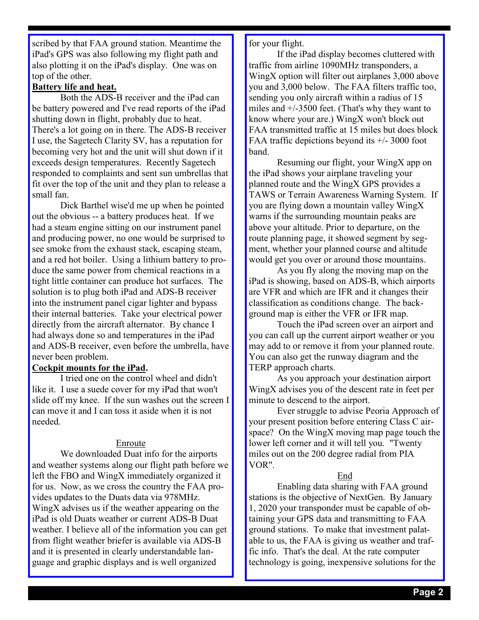scribed by that FAA ground station. Meantime the iPad's GPS was also following my flight path and also plotting it on the iPad's display. One was on top of the other.

#### **Battery life and heat.**

 Both the ADS-B receiver and the iPad can be battery powered and I've read reports of the iPad shutting down in flight, probably due to heat. There's a lot going on in there. The ADS-B receiver I use, the Sagetech Clarity SV, has a reputation for becoming very hot and the unit will shut down if it exceeds design temperatures. Recently Sagetech responded to complaints and sent sun umbrellas that fit over the top of the unit and they plan to release a small fan.

 Dick Barthel wise'd me up when he pointed out the obvious -- a battery produces heat. If we had a steam engine sitting on our instrument panel and producing power, no one would be surprised to see smoke from the exhaust stack, escaping steam, and a red hot boiler. Using a lithium battery to produce the same power from chemical reactions in a tight little container can produce hot surfaces. The solution is to plug both iPad and ADS-B receiver into the instrument panel cigar lighter and bypass their internal batteries. Take your electrical power directly from the aircraft alternator. By chance I had always done so and temperatures in the iPad and ADS-B receiver, even before the umbrella, have never been problem.

## **Cockpit mounts for the iPad.**

 I tried one on the control wheel and didn't like it. I use a suede cover for my iPad that won't slide off my knee. If the sun washes out the screen I can move it and I can toss it aside when it is not needed.

#### Enroute

 We downloaded Duat info for the airports and weather systems along our flight path before we left the FBO and WingX immediately organized it for us. Now, as we cross the country the FAA provides updates to the Duats data via 978MHz. WingX advises us if the weather appearing on the iPad is old Duats weather or current ADS-B Duat weather. I believe all of the information you can get from flight weather briefer is available via ADS-B and it is presented in clearly understandable language and graphic displays and is well organized

for your flight.

 If the iPad display becomes cluttered with traffic from airline 1090MHz transponders, a WingX option will filter out airplanes 3,000 above you and 3,000 below. The FAA filters traffic too, sending you only aircraft within a radius of 15 miles and +/-3500 feet. (That's why they want to know where your are.) WingX won't block out FAA transmitted traffic at 15 miles but does block FAA traffic depictions beyond its +/- 3000 foot band.

 Resuming our flight, your WingX app on the iPad shows your airplane traveling your planned route and the WingX GPS provides a TAWS or Terrain Awareness Warning System. If you are flying down a mountain valley WingX warns if the surrounding mountain peaks are above your altitude. Prior to departure, on the route planning page, it showed segment by segment, whether your planned course and altitude would get you over or around those mountains.

 As you fly along the moving map on the iPad is showing, based on ADS-B, which airports are VFR and which are IFR and it changes their classification as conditions change. The background map is either the VFR or IFR map.

 Touch the iPad screen over an airport and you can call up the current airport weather or you may add to or remove it from your planned route. You can also get the runway diagram and the TERP approach charts.

 As you approach your destination airport WingX advises you of the descent rate in feet per minute to descend to the airport.

 Ever struggle to advise Peoria Approach of your present position before entering Class C airspace? On the WingX moving map page touch the lower left corner and it will tell you. "Twenty miles out on the 200 degree radial from PIA VOR".

#### End

 Enabling data sharing with FAA ground stations is the objective of NextGen. By January 1, 2020 your transponder must be capable of obtaining your GPS data and transmitting to FAA ground stations. To make that investment palatable to us, the FAA is giving us weather and traffic info. That's the deal. At the rate computer technology is going, inexpensive solutions for the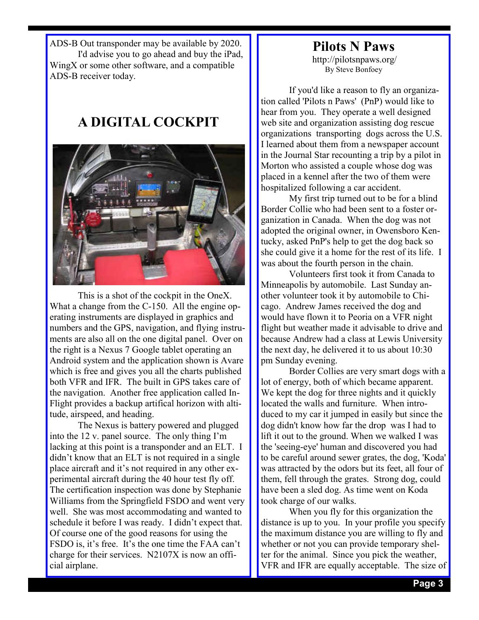ADS-B Out transponder may be available by 2020. I'd advise you to go ahead and buy the iPad, WingX or some other software, and a compatible ADS-B receiver today.

## **A DIGITAL COCKPIT**



 This is a shot of the cockpit in the OneX. What a change from the C-150. All the engine operating instruments are displayed in graphics and numbers and the GPS, navigation, and flying instruments are also all on the one digital panel. Over on the right is a Nexus 7 Google tablet operating an Android system and the application shown is Avare which is free and gives you all the charts published both VFR and IFR. The built in GPS takes care of the navigation. Another free application called In-Flight provides a backup artifical horizon with altitude, airspeed, and heading.

 The Nexus is battery powered and plugged into the 12 v. panel source. The only thing I'm lacking at this point is a transponder and an ELT. I didn't know that an ELT is not required in a single place aircraft and it's not required in any other experimental aircraft during the 40 hour test fly off. The certification inspection was done by Stephanie Williams from the Springfield FSDO and went very well. She was most accommodating and wanted to schedule it before I was ready. I didn't expect that. Of course one of the good reasons for using the FSDO is, it's free. It's the one time the FAA can't charge for their services. N2107X is now an official airplane.

# **Pilots N Paws**

http://pilotsnpaws.org/ By Steve Bonfoey

 If you'd like a reason to fly an organization called 'Pilots n Paws' (PnP) would like to hear from you. They operate a well designed web site and organization assisting dog rescue organizations transporting dogs across the U.S. I learned about them from a newspaper account in the Journal Star recounting a trip by a pilot in Morton who assisted a couple whose dog was placed in a kennel after the two of them were hospitalized following a car accident.

 My first trip turned out to be for a blind Border Collie who had been sent to a foster organization in Canada. When the dog was not adopted the original owner, in Owensboro Kentucky, asked PnP's help to get the dog back so she could give it a home for the rest of its life. I was about the fourth person in the chain.

 Volunteers first took it from Canada to Minneapolis by automobile. Last Sunday another volunteer took it by automobile to Chicago. Andrew James received the dog and would have flown it to Peoria on a VFR night flight but weather made it advisable to drive and because Andrew had a class at Lewis University the next day, he delivered it to us about 10:30 pm Sunday evening.

 Border Collies are very smart dogs with a lot of energy, both of which became apparent. We kept the dog for three nights and it quickly located the walls and furniture. When introduced to my car it jumped in easily but since the dog didn't know how far the drop was I had to lift it out to the ground. When we walked I was the 'seeing-eye' human and discovered you had to be careful around sewer grates, the dog, 'Koda' was attracted by the odors but its feet, all four of them, fell through the grates. Strong dog, could have been a sled dog. As time went on Koda took charge of our walks.

 When you fly for this organization the distance is up to you. In your profile you specify the maximum distance you are willing to fly and whether or not you can provide temporary shelter for the animal. Since you pick the weather, VFR and IFR are equally acceptable. The size of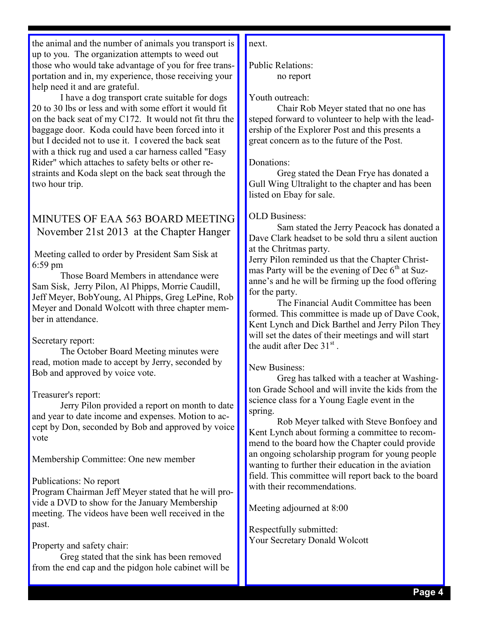the animal and the number of animals you transport is up to you. The organization attempts to weed out those who would take advantage of you for free transportation and in, my experience, those receiving your help need it and are grateful.

 I have a dog transport crate suitable for dogs 20 to 30 lbs or less and with some effort it would fit on the back seat of my C172. It would not fit thru the baggage door. Koda could have been forced into it but I decided not to use it. I covered the back seat with a thick rug and used a car harness called "Easy Rider" which attaches to safety belts or other restraints and Koda slept on the back seat through the two hour trip.

## MINUTES OF EAA 563 BOARD MEETING November 21st 2013 at the Chapter Hanger

 Meeting called to order by President Sam Sisk at 6:59 pm

 Those Board Members in attendance were Sam Sisk, Jerry Pilon, Al Phipps, Morrie Caudill, Jeff Meyer, BobYoung, Al Phipps, Greg LePine, Rob Meyer and Donald Wolcott with three chapter member in attendance.

#### Secretary report:

 The October Board Meeting minutes were read, motion made to accept by Jerry, seconded by Bob and approved by voice vote.

#### Treasurer's report:

 Jerry Pilon provided a report on month to date and year to date income and expenses. Motion to accept by Don, seconded by Bob and approved by voice vote

Membership Committee: One new member

## Publications: No report

Program Chairman Jeff Meyer stated that he will provide a DVD to show for the January Membership meeting. The videos have been well received in the past.

## Property and safety chair:

 Greg stated that the sink has been removed from the end cap and the pidgon hole cabinet will be next.

Public Relations: no report

## Youth outreach:

 Chair Rob Meyer stated that no one has steped forward to volunteer to help with the leadership of the Explorer Post and this presents a great concern as to the future of the Post.

#### Donations:

 Greg stated the Dean Frye has donated a Gull Wing Ultralight to the chapter and has been listed on Ebay for sale.

## OLD Business:

 Sam stated the Jerry Peacock has donated a Dave Clark headset to be sold thru a silent auction at the Chritmas party.

Jerry Pilon reminded us that the Chapter Christmas Party will be the evening of Dec  $6<sup>th</sup>$  at Suzanne's and he will be firming up the food offering for the party.

 The Financial Audit Committee has been formed. This committee is made up of Dave Cook, Kent Lynch and Dick Barthel and Jerry Pilon They will set the dates of their meetings and will start the audit after Dec  $31<sup>st</sup>$ .

## New Business:

 Greg has talked with a teacher at Washington Grade School and will invite the kids from the science class for a Young Eagle event in the spring.

 Rob Meyer talked with Steve Bonfoey and Kent Lynch about forming a committee to recommend to the board how the Chapter could provide an ongoing scholarship program for young people wanting to further their education in the aviation field. This committee will report back to the board with their recommendations.

Meeting adjourned at 8:00

Respectfully submitted: Your Secretary Donald Wolcott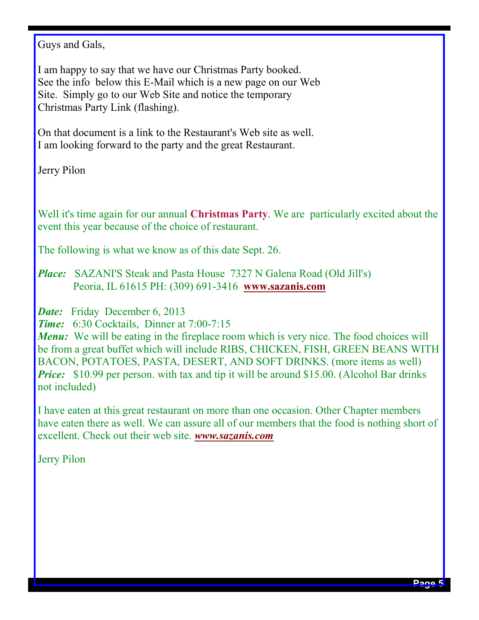Guys and Gals,

I am happy to say that we have our Christmas Party booked. See the info below this E-Mail which is a new page on our Web Site. Simply go to our Web Site and notice the temporary Christmas Party Link (flashing).

On that document is a link to the Restaurant's Web site as well. I am looking forward to the party and the great Restaurant.

Jerry Pilon

Well it's time again for our annual **Christmas Party**. We are particularly excited about the event this year because of the choice of restaurant.

The following is what we know as of this date Sept. 26.

*Place:* SAZANI'S Steak and Pasta House 7327 N Galena Road (Old Jill's) Peoria, IL 61615 PH: (309) 691-3416 **www.sazanis.com**

**Date:** Friday December 6, 2013

*Time:* 6:30 Cocktails, Dinner at 7:00-7:15

*Menu*: We will be eating in the fireplace room which is very nice. The food choices will be from a great buffet which will include RIBS, CHICKEN, FISH, GREEN BEANS WITH BACON, POTATOES, PASTA, DESERT, AND SOFT DRINKS. (more items as well) *Price:* \$10.99 per person. with tax and tip it will be around \$15.00. (Alcohol Bar drinks not included)

I have eaten at this great restaurant on more than one occasion. Other Chapter members have eaten there as well. We can assure all of our members that the food is nothing short of excellent. Check out their web site. *www.sazanis.com*

Jerry Pilon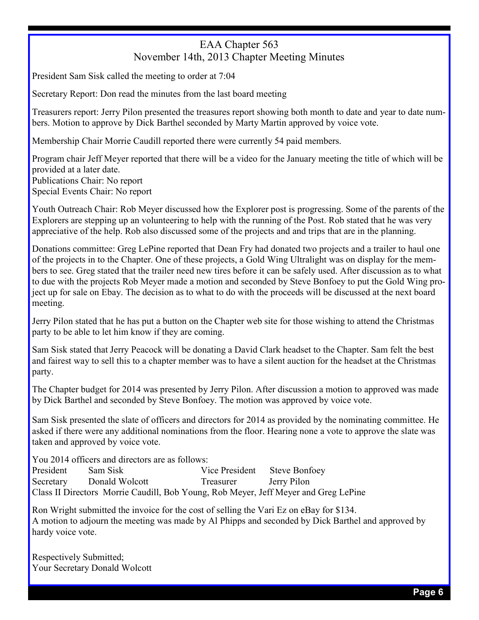## EAA Chapter 563 November 14th, 2013 Chapter Meeting Minutes

President Sam Sisk called the meeting to order at 7:04

Secretary Report: Don read the minutes from the last board meeting

Treasurers report: Jerry Pilon presented the treasures report showing both month to date and year to date numbers. Motion to approve by Dick Barthel seconded by Marty Martin approved by voice vote.

Membership Chair Morrie Caudill reported there were currently 54 paid members.

Program chair Jeff Meyer reported that there will be a video for the January meeting the title of which will be provided at a later date. Publications Chair: No report Special Events Chair: No report

Youth Outreach Chair: Rob Meyer discussed how the Explorer post is progressing. Some of the parents of the Explorers are stepping up an volunteering to help with the running of the Post. Rob stated that he was very appreciative of the help. Rob also discussed some of the projects and and trips that are in the planning.

Donations committee: Greg LePine reported that Dean Fry had donated two projects and a trailer to haul one of the projects in to the Chapter. One of these projects, a Gold Wing Ultralight was on display for the members to see. Greg stated that the trailer need new tires before it can be safely used. After discussion as to what to due with the projects Rob Meyer made a motion and seconded by Steve Bonfoey to put the Gold Wing project up for sale on Ebay. The decision as to what to do with the proceeds will be discussed at the next board meeting.

Jerry Pilon stated that he has put a button on the Chapter web site for those wishing to attend the Christmas party to be able to let him know if they are coming.

Sam Sisk stated that Jerry Peacock will be donating a David Clark headset to the Chapter. Sam felt the best and fairest way to sell this to a chapter member was to have a silent auction for the headset at the Christmas party.

The Chapter budget for 2014 was presented by Jerry Pilon. After discussion a motion to approved was made by Dick Barthel and seconded by Steve Bonfoey. The motion was approved by voice vote.

Sam Sisk presented the slate of officers and directors for 2014 as provided by the nominating committee. He asked if there were any additional nominations from the floor. Hearing none a vote to approve the slate was taken and approved by voice vote.

You 2014 officers and directors are as follows:

President Sam Sisk Vice President Steve Bonfoey Secretary Donald Wolcott Treasurer Jerry Pilon Class II Directors Morrie Caudill, Bob Young, Rob Meyer, Jeff Meyer and Greg LePine

Ron Wright submitted the invoice for the cost of selling the Vari Ez on eBay for \$134. A motion to adjourn the meeting was made by Al Phipps and seconded by Dick Barthel and approved by hardy voice vote.

Respectively Submitted; Your Secretary Donald Wolcott